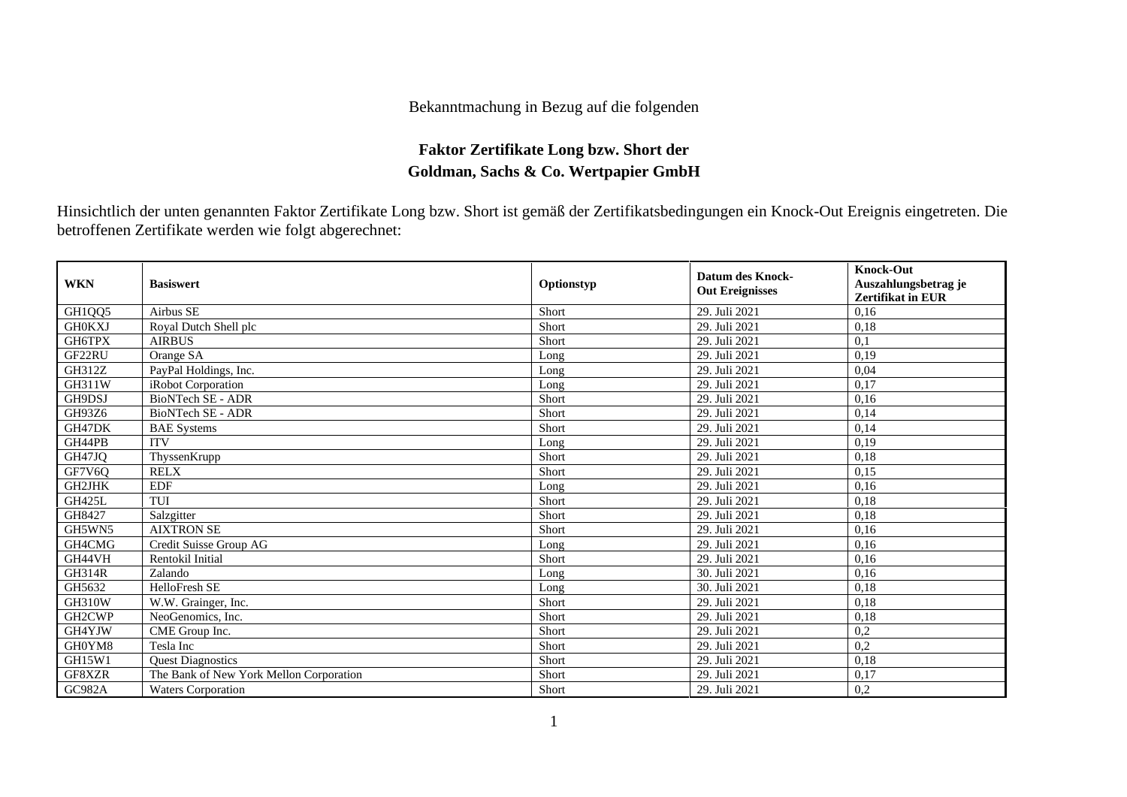## Bekanntmachung in Bezug auf die folgenden

## **Faktor Zertifikate Long bzw. Short der Goldman, Sachs & Co. Wertpapier GmbH**

Hinsichtlich der unten genannten Faktor Zertifikate Long bzw. Short ist gemäß der Zertifikatsbedingungen ein Knock-Out Ereignis eingetreten. Die betroffenen Zertifikate werden wie folgt abgerechnet:

| <b>WKN</b>    | <b>Basiswert</b>                        | Optionstyp | <b>Datum des Knock-</b><br><b>Out Ereignisses</b> | <b>Knock-Out</b><br>Auszahlungsbetrag je<br><b>Zertifikat in EUR</b> |
|---------------|-----------------------------------------|------------|---------------------------------------------------|----------------------------------------------------------------------|
| GH1QQ5        | Airbus SE                               | Short      | 29. Juli 2021                                     | 0.16                                                                 |
| <b>GH0KXJ</b> | Royal Dutch Shell plc                   | Short      | 29. Juli 2021                                     | 0,18                                                                 |
| GH6TPX        | <b>AIRBUS</b>                           | Short      | 29. Juli 2021                                     | 0,1                                                                  |
| GF22RU        | Orange SA                               | Long       | 29. Juli 2021                                     | 0,19                                                                 |
| GH312Z        | PayPal Holdings, Inc.                   | Long       | 29. Juli 2021                                     | 0,04                                                                 |
| <b>GH311W</b> | iRobot Corporation                      | Long       | 29. Juli 2021                                     | 0.17                                                                 |
| GH9DSJ        | <b>BioNTech SE - ADR</b>                | Short      | 29. Juli 2021                                     | 0,16                                                                 |
| GH93Z6        | <b>BioNTech SE - ADR</b>                | Short      | 29. Juli 2021                                     | 0,14                                                                 |
| GH47DK        | <b>BAE</b> Systems                      | Short      | 29. Juli 2021                                     | 0,14                                                                 |
| GH44PB        | <b>ITV</b>                              | Long       | 29. Juli 2021                                     | 0.19                                                                 |
| GH47JQ        | ThyssenKrupp                            | Short      | 29. Juli 2021                                     | 0,18                                                                 |
| GF7V6Q        | <b>RELX</b>                             | Short      | 29. Juli 2021                                     | 0.15                                                                 |
| <b>GH2JHK</b> | <b>EDF</b>                              | Long       | 29. Juli 2021                                     | 0.16                                                                 |
| <b>GH425L</b> | TUI                                     | Short      | 29. Juli 2021                                     | 0,18                                                                 |
| GH8427        | Salzgitter                              | Short      | 29. Juli 2021                                     | 0,18                                                                 |
| GH5WN5        | <b>AIXTRON SE</b>                       | Short      | 29. Juli 2021                                     | 0,16                                                                 |
| GH4CMG        | Credit Suisse Group AG                  | Long       | 29. Juli 2021                                     | 0,16                                                                 |
| GH44VH        | <b>Rentokil Initial</b>                 | Short      | 29. Juli 2021                                     | 0,16                                                                 |
| <b>GH314R</b> | Zalando                                 | Long       | 30. Juli 2021                                     | 0,16                                                                 |
| GH5632        | HelloFresh SE                           | Long       | 30. Juli 2021                                     | 0,18                                                                 |
| <b>GH310W</b> | W.W. Grainger, Inc.                     | Short      | 29. Juli 2021                                     | 0,18                                                                 |
| GH2CWP        | NeoGenomics, Inc.                       | Short      | 29. Juli 2021                                     | 0,18                                                                 |
| GH4YJW        | CME Group Inc.                          | Short      | 29. Juli 2021                                     | 0,2                                                                  |
| GH0YM8        | Tesla Inc                               | Short      | 29. Juli 2021                                     | 0,2                                                                  |
| GH15W1        | <b>Ouest Diagnostics</b>                | Short      | 29. Juli 2021                                     | 0,18                                                                 |
| GF8XZR        | The Bank of New York Mellon Corporation | Short      | 29. Juli 2021                                     | 0,17                                                                 |
| GC982A        | <b>Waters Corporation</b>               | Short      | 29. Juli 2021                                     | 0,2                                                                  |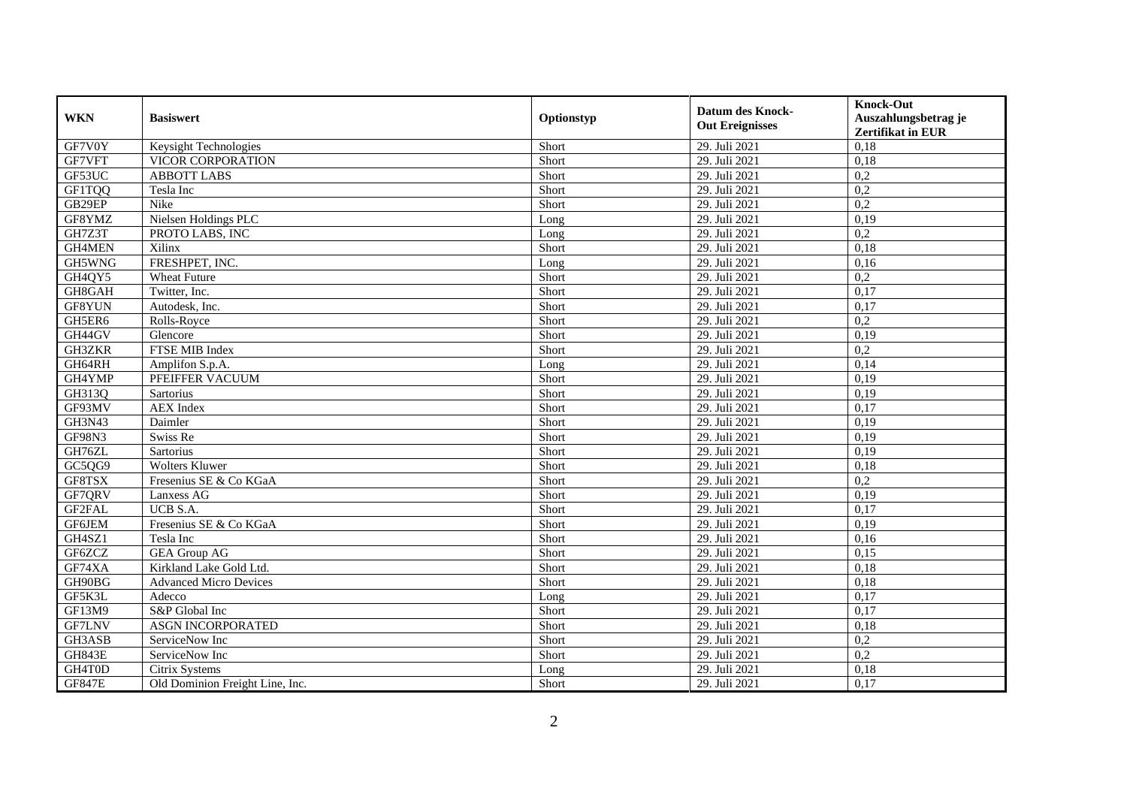| <b>WKN</b>    | <b>Basiswert</b>                | Optionstyp | <b>Datum des Knock-</b><br><b>Out Ereignisses</b> | <b>Knock-Out</b><br>Auszahlungsbetrag je<br><b>Zertifikat in EUR</b> |
|---------------|---------------------------------|------------|---------------------------------------------------|----------------------------------------------------------------------|
| GF7V0Y        | Keysight Technologies           | Short      | 29. Juli 2021                                     | 0,18                                                                 |
| GF7VFT        | VICOR CORPORATION               | Short      | 29. Juli 2021                                     | 0,18                                                                 |
| GF53UC        | <b>ABBOTT LABS</b>              | Short      | 29. Juli 2021                                     | 0,2                                                                  |
| GF1TQQ        | Tesla Inc                       | Short      | 29. Juli 2021                                     | 0,2                                                                  |
| GB29EP        | Nike                            | Short      | 29. Juli 2021                                     | 0,2                                                                  |
| GF8YMZ        | Nielsen Holdings PLC            | Long       | 29. Juli 2021                                     | 0,19                                                                 |
| GH7Z3T        | PROTO LABS, INC                 | Long       | 29. Juli 2021                                     | 0,2                                                                  |
| GH4MEN        | Xilinx                          | Short      | 29. Juli 2021                                     | 0,18                                                                 |
| GH5WNG        | FRESHPET, INC.                  | Long       | 29. Juli 2021                                     | 0,16                                                                 |
| GH4QY5        | <b>Wheat Future</b>             | Short      | 29. Juli 2021                                     | 0,2                                                                  |
| GH8GAH        | Twitter, Inc.                   | Short      | 29. Juli 2021                                     | 0,17                                                                 |
| GF8YUN        | Autodesk, Inc.                  | Short      | 29. Juli 2021                                     | 0,17                                                                 |
| GH5ER6        | Rolls-Royce                     | Short      | 29. Juli 2021                                     | 0,2                                                                  |
| GH44GV        | Glencore                        | Short      | 29. Juli 2021                                     | 0,19                                                                 |
| GH3ZKR        | FTSE MIB Index                  | Short      | 29. Juli 2021                                     | 0,2                                                                  |
| GH64RH        | Amplifon S.p.A.                 | Long       | 29. Juli 2021                                     | 0,14                                                                 |
| GH4YMP        | PFEIFFER VACUUM                 | Short      | 29. Juli 2021                                     | 0,19                                                                 |
| GH313Q        | <b>Sartorius</b>                | Short      | 29. Juli 2021                                     | 0,19                                                                 |
| GF93MV        | <b>AEX</b> Index                | Short      | 29. Juli 2021                                     | 0,17                                                                 |
| GH3N43        | Daimler                         | Short      | 29. Juli 2021                                     | 0,19                                                                 |
| GF98N3        | Swiss Re                        | Short      | 29. Juli 2021                                     | 0,19                                                                 |
| GH76ZL        | Sartorius                       | Short      | 29. Juli 2021                                     | 0,19                                                                 |
| GC5QG9        | <b>Wolters Kluwer</b>           | Short      | 29. Juli 2021                                     | 0,18                                                                 |
| GF8TSX        | Fresenius SE & Co KGaA          | Short      | 29. Juli 2021                                     | 0,2                                                                  |
| GF7QRV        | Lanxess AG                      | Short      | 29. Juli 2021                                     | 0,19                                                                 |
| GF2FAL        | UCB S.A.                        | Short      | 29. Juli 2021                                     | 0,17                                                                 |
| GF6JEM        | Fresenius SE & Co KGaA          | Short      | 29. Juli 2021                                     | 0,19                                                                 |
| GH4SZ1        | Tesla Inc                       | Short      | 29. Juli 2021                                     | 0,16                                                                 |
| GF6ZCZ        | <b>GEA Group AG</b>             | Short      | 29. Juli 2021                                     | 0,15                                                                 |
| GF74XA        | Kirkland Lake Gold Ltd.         | Short      | 29. Juli 2021                                     | 0,18                                                                 |
| GH90BG        | <b>Advanced Micro Devices</b>   | Short      | 29. Juli 2021                                     | 0,18                                                                 |
| GF5K3L        | Adecco                          | Long       | 29. Juli 2021                                     | 0,17                                                                 |
| GF13M9        | S&P Global Inc                  | Short      | 29. Juli 2021                                     | 0,17                                                                 |
| <b>GF7LNV</b> | <b>ASGN INCORPORATED</b>        | Short      | 29. Juli 2021                                     | 0,18                                                                 |
| GH3ASB        | ServiceNow Inc                  | Short      | 29. Juli 2021                                     | 0,2                                                                  |
| <b>GH843E</b> | ServiceNow Inc                  | Short      | 29. Juli 2021                                     | 0,2                                                                  |
| GH4T0D        | Citrix Systems                  | Long       | 29. Juli 2021                                     | 0,18                                                                 |
| <b>GF847E</b> | Old Dominion Freight Line, Inc. | Short      | 29. Juli 2021                                     | 0,17                                                                 |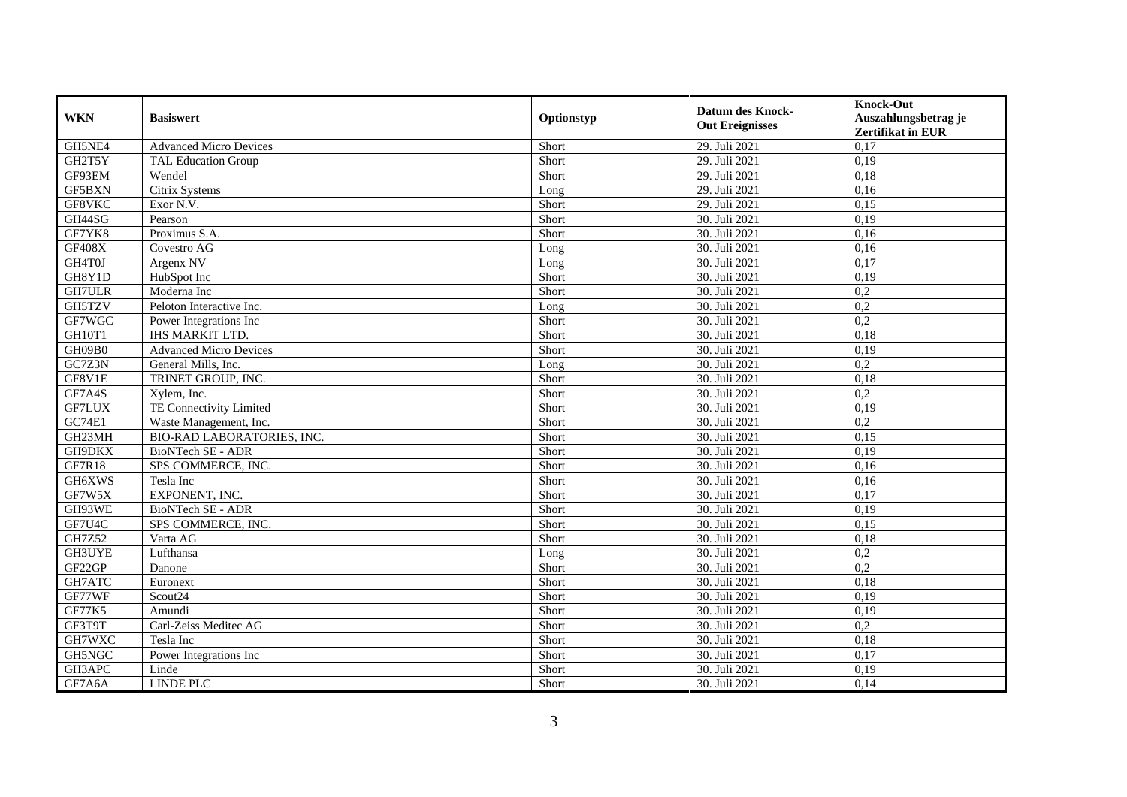| <b>WKN</b>    | <b>Basiswert</b>                  | Optionstyp | <b>Datum des Knock-</b><br><b>Out Ereignisses</b> | <b>Knock-Out</b>         |
|---------------|-----------------------------------|------------|---------------------------------------------------|--------------------------|
|               |                                   |            |                                                   | Auszahlungsbetrag je     |
|               |                                   |            |                                                   | <b>Zertifikat in EUR</b> |
| GH5NE4        | <b>Advanced Micro Devices</b>     | Short      | 29. Juli 2021                                     | 0,17                     |
| GH2T5Y        | <b>TAL Education Group</b>        | Short      | 29. Juli 2021                                     | 0,19                     |
| GF93EM        | Wendel                            | Short      | 29. Juli 2021                                     | 0,18                     |
| GF5BXN        | Citrix Systems                    | Long       | 29. Juli 2021                                     | 0,16                     |
| GF8VKC        | Exor N.V.                         | Short      | 29. Juli 2021                                     | 0,15                     |
| GH44SG        | Pearson                           | Short      | 30. Juli 2021                                     | 0,19                     |
| GF7YK8        | Proximus S.A.                     | Short      | 30. Juli 2021                                     | 0,16                     |
| <b>GF408X</b> | Covestro AG                       | Long       | 30. Juli 2021                                     | 0,16                     |
| GH4T0J        | Argenx NV                         | Long       | 30. Juli 2021                                     | 0,17                     |
| GH8Y1D        | HubSpot Inc                       | Short      | 30. Juli 2021                                     | 0,19                     |
| <b>GH7ULR</b> | Moderna Inc                       | Short      | 30. Juli 2021                                     | 0,2                      |
| GH5TZV        | Peloton Interactive Inc.          | Long       | 30. Juli 2021                                     | $\overline{0,2}$         |
| GF7WGC        | Power Integrations Inc            | Short      | 30. Juli 2021                                     | 0,2                      |
| GH10T1        | <b>IHS MARKIT LTD.</b>            | Short      | 30. Juli 2021                                     | 0,18                     |
| GH09B0        | <b>Advanced Micro Devices</b>     | Short      | 30. Juli 2021                                     | 0,19                     |
| GC7Z3N        | General Mills, Inc.               | Long       | 30. Juli 2021                                     | 0,2                      |
| GF8V1E        | TRINET GROUP, INC.                | Short      | 30. Juli 2021                                     | 0,18                     |
| GF7A4S        | Xylem. Inc.                       | Short      | 30. Juli 2021                                     | 0,2                      |
| <b>GF7LUX</b> | TE Connectivity Limited           | Short      | 30. Juli 2021                                     | 0,19                     |
| GC74E1        | Waste Management, Inc.            | Short      | 30. Juli 2021                                     | 0,2                      |
| GH23MH        | <b>BIO-RAD LABORATORIES, INC.</b> | Short      | 30. Juli 2021                                     | 0,15                     |
| GH9DKX        | <b>BioNTech SE - ADR</b>          | Short      | 30. Juli 2021                                     | 0,19                     |
| GF7R18        | SPS COMMERCE, INC.                | Short      | 30. Juli 2021                                     | 0,16                     |
| GH6XWS        | Tesla Inc                         | Short      | 30. Juli 2021                                     | 0,16                     |
| GF7W5X        | EXPONENT, INC.                    | Short      | 30. Juli 2021                                     | 0.17                     |
| GH93WE        | BioNTech SE - ADR                 | Short      | 30. Juli 2021                                     | 0,19                     |
| GF7U4C        | SPS COMMERCE, INC.                | Short      | 30. Juli 2021                                     | 0,15                     |
| GH7Z52        | Varta AG                          | Short      | 30. Juli 2021                                     | 0,18                     |
| <b>GH3UYE</b> | Lufthansa                         | Long       | 30. Juli 2021                                     | 0,2                      |
| GF22GP        | Danone                            | Short      | 30. Juli 2021                                     | 0,2                      |
| GH7ATC        | Euronext                          | Short      | 30. Juli 2021                                     | 0,18                     |
| GF77WF        | Scout <sub>24</sub>               | Short      | 30. Juli 2021                                     | 0,19                     |
| <b>GF77K5</b> | Amundi                            | Short      | 30. Juli 2021                                     | 0,19                     |
| GF3T9T        | Carl-Zeiss Meditec AG             | Short      | 30. Juli 2021                                     | 0,2                      |
| GH7WXC        | Tesla Inc                         | Short      | 30. Juli 2021                                     | 0,18                     |
| GH5NGC        | Power Integrations Inc            | Short      | 30. Juli 2021                                     | 0,17                     |
| GH3APC        | Linde                             | Short      | 30. Juli 2021                                     | 0,19                     |
| GF7A6A        | <b>LINDE PLC</b>                  | Short      | 30. Juli 2021                                     | 0,14                     |